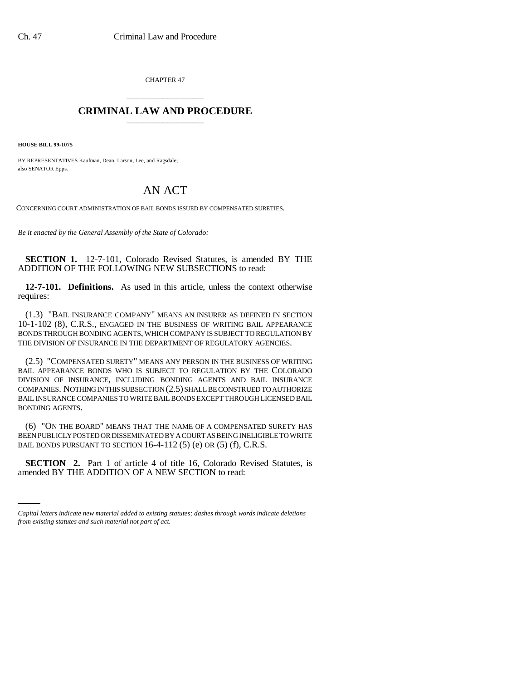CHAPTER 47 \_\_\_\_\_\_\_\_\_\_\_\_\_\_\_

## **CRIMINAL LAW AND PROCEDURE** \_\_\_\_\_\_\_\_\_\_\_\_\_\_\_

**HOUSE BILL 99-1075**

BY REPRESENTATIVES Kaufman, Dean, Larson, Lee, and Ragsdale; also SENATOR Epps.

## AN ACT

CONCERNING COURT ADMINISTRATION OF BAIL BONDS ISSUED BY COMPENSATED SURETIES.

*Be it enacted by the General Assembly of the State of Colorado:*

**SECTION 1.** 12-7-101, Colorado Revised Statutes, is amended BY THE ADDITION OF THE FOLLOWING NEW SUBSECTIONS to read:

**12-7-101. Definitions.** As used in this article, unless the context otherwise requires:

(1.3) "BAIL INSURANCE COMPANY" MEANS AN INSURER AS DEFINED IN SECTION 10-1-102 (8), C.R.S., ENGAGED IN THE BUSINESS OF WRITING BAIL APPEARANCE BONDS THROUGH BONDING AGENTS, WHICH COMPANY IS SUBJECT TO REGULATION BY THE DIVISION OF INSURANCE IN THE DEPARTMENT OF REGULATORY AGENCIES.

(2.5) "COMPENSATED SURETY" MEANS ANY PERSON IN THE BUSINESS OF WRITING BAIL APPEARANCE BONDS WHO IS SUBJECT TO REGULATION BY THE COLORADO DIVISION OF INSURANCE, INCLUDING BONDING AGENTS AND BAIL INSURANCE COMPANIES. NOTHING IN THIS SUBSECTION (2.5) SHALL BE CONSTRUED TO AUTHORIZE BAIL INSURANCE COMPANIES TO WRITE BAIL BONDS EXCEPT THROUGH LICENSED BAIL BONDING AGENTS.

(6) "ON THE BOARD" MEANS THAT THE NAME OF A COMPENSATED SURETY HAS BEEN PUBLICLY POSTED OR DISSEMINATED BY A COURT AS BEING INELIGIBLE TO WRITE BAIL BONDS PURSUANT TO SECTION 16-4-112 (5) (e) OR (5) (f), C.R.S.

**SECTION 2.** Part 1 of article 4 of title 16, Colorado Revised Statutes, is amended BY THE ADDITION OF A NEW SECTION to read:

*Capital letters indicate new material added to existing statutes; dashes through words indicate deletions from existing statutes and such material not part of act.*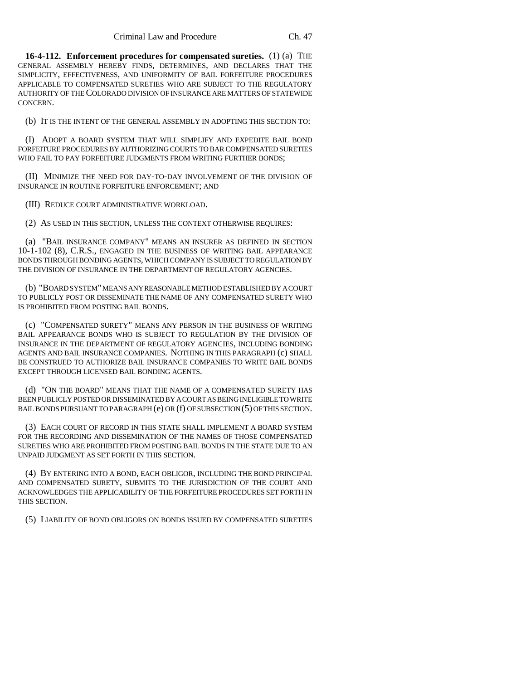**16-4-112. Enforcement procedures for compensated sureties.** (1) (a) THE GENERAL ASSEMBLY HEREBY FINDS, DETERMINES, AND DECLARES THAT THE SIMPLICITY, EFFECTIVENESS, AND UNIFORMITY OF BAIL FORFEITURE PROCEDURES APPLICABLE TO COMPENSATED SURETIES WHO ARE SUBJECT TO THE REGULATORY AUTHORITY OF THE COLORADO DIVISION OF INSURANCE ARE MATTERS OF STATEWIDE CONCERN.

(b) IT IS THE INTENT OF THE GENERAL ASSEMBLY IN ADOPTING THIS SECTION TO:

(I) ADOPT A BOARD SYSTEM THAT WILL SIMPLIFY AND EXPEDITE BAIL BOND FORFEITURE PROCEDURES BY AUTHORIZING COURTS TO BAR COMPENSATED SURETIES WHO FAIL TO PAY FORFEITURE JUDGMENTS FROM WRITING FURTHER BONDS:

(II) MINIMIZE THE NEED FOR DAY-TO-DAY INVOLVEMENT OF THE DIVISION OF INSURANCE IN ROUTINE FORFEITURE ENFORCEMENT; AND

(III) REDUCE COURT ADMINISTRATIVE WORKLOAD.

(2) AS USED IN THIS SECTION, UNLESS THE CONTEXT OTHERWISE REQUIRES:

(a) "BAIL INSURANCE COMPANY" MEANS AN INSURER AS DEFINED IN SECTION 10-1-102 (8), C.R.S., ENGAGED IN THE BUSINESS OF WRITING BAIL APPEARANCE BONDS THROUGH BONDING AGENTS, WHICH COMPANY IS SUBJECT TO REGULATION BY THE DIVISION OF INSURANCE IN THE DEPARTMENT OF REGULATORY AGENCIES.

(b) "BOARD SYSTEM" MEANS ANY REASONABLE METHOD ESTABLISHED BY A COURT TO PUBLICLY POST OR DISSEMINATE THE NAME OF ANY COMPENSATED SURETY WHO IS PROHIBITED FROM POSTING BAIL BONDS.

(c) "COMPENSATED SURETY" MEANS ANY PERSON IN THE BUSINESS OF WRITING BAIL APPEARANCE BONDS WHO IS SUBJECT TO REGULATION BY THE DIVISION OF INSURANCE IN THE DEPARTMENT OF REGULATORY AGENCIES, INCLUDING BONDING AGENTS AND BAIL INSURANCE COMPANIES. NOTHING IN THIS PARAGRAPH (c) SHALL BE CONSTRUED TO AUTHORIZE BAIL INSURANCE COMPANIES TO WRITE BAIL BONDS EXCEPT THROUGH LICENSED BAIL BONDING AGENTS.

(d) "ON THE BOARD" MEANS THAT THE NAME OF A COMPENSATED SURETY HAS BEEN PUBLICLY POSTED OR DISSEMINATED BY A COURT AS BEING INELIGIBLE TO WRITE BAIL BONDS PURSUANT TO PARAGRAPH (e) OR (f) OF SUBSECTION (5) OF THIS SECTION.

(3) EACH COURT OF RECORD IN THIS STATE SHALL IMPLEMENT A BOARD SYSTEM FOR THE RECORDING AND DISSEMINATION OF THE NAMES OF THOSE COMPENSATED SURETIES WHO ARE PROHIBITED FROM POSTING BAIL BONDS IN THE STATE DUE TO AN UNPAID JUDGMENT AS SET FORTH IN THIS SECTION.

(4) BY ENTERING INTO A BOND, EACH OBLIGOR, INCLUDING THE BOND PRINCIPAL AND COMPENSATED SURETY, SUBMITS TO THE JURISDICTION OF THE COURT AND ACKNOWLEDGES THE APPLICABILITY OF THE FORFEITURE PROCEDURES SET FORTH IN THIS SECTION.

(5) LIABILITY OF BOND OBLIGORS ON BONDS ISSUED BY COMPENSATED SURETIES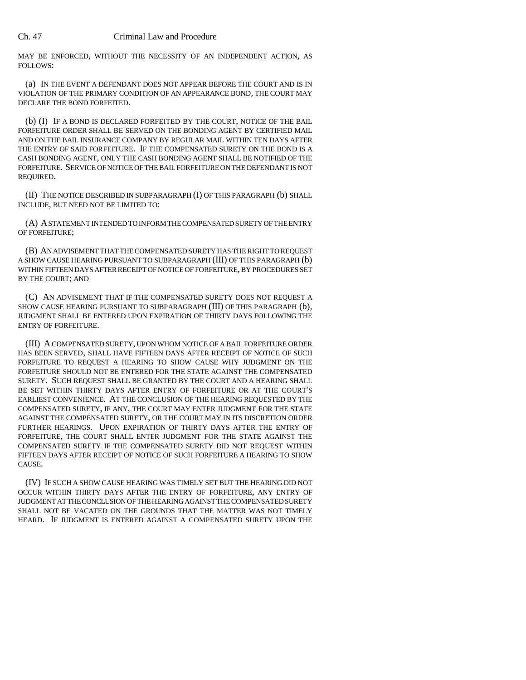MAY BE ENFORCED, WITHOUT THE NECESSITY OF AN INDEPENDENT ACTION, AS FOLLOWS:

(a) IN THE EVENT A DEFENDANT DOES NOT APPEAR BEFORE THE COURT AND IS IN VIOLATION OF THE PRIMARY CONDITION OF AN APPEARANCE BOND, THE COURT MAY DECLARE THE BOND FORFEITED.

(b) (I) IF A BOND IS DECLARED FORFEITED BY THE COURT, NOTICE OF THE BAIL FORFEITURE ORDER SHALL BE SERVED ON THE BONDING AGENT BY CERTIFIED MAIL AND ON THE BAIL INSURANCE COMPANY BY REGULAR MAIL WITHIN TEN DAYS AFTER THE ENTRY OF SAID FORFEITURE. IF THE COMPENSATED SURETY ON THE BOND IS A CASH BONDING AGENT, ONLY THE CASH BONDING AGENT SHALL BE NOTIFIED OF THE FORFEITURE. SERVICE OF NOTICE OF THE BAIL FORFEITURE ON THE DEFENDANT IS NOT REQUIRED.

(II) THE NOTICE DESCRIBED IN SUBPARAGRAPH (I) OF THIS PARAGRAPH (b) SHALL INCLUDE, BUT NEED NOT BE LIMITED TO:

(A) A STATEMENT INTENDED TO INFORM THE COMPENSATED SURETY OF THE ENTRY OF FORFEITURE;

(B) AN ADVISEMENT THAT THE COMPENSATED SURETY HAS THE RIGHT TO REQUEST A SHOW CAUSE HEARING PURSUANT TO SUBPARAGRAPH (III) OF THIS PARAGRAPH (b) WITHIN FIFTEEN DAYS AFTER RECEIPT OF NOTICE OF FORFEITURE, BY PROCEDURES SET BY THE COURT; AND

(C) AN ADVISEMENT THAT IF THE COMPENSATED SURETY DOES NOT REQUEST A SHOW CAUSE HEARING PURSUANT TO SUBPARAGRAPH (III) OF THIS PARAGRAPH (b), JUDGMENT SHALL BE ENTERED UPON EXPIRATION OF THIRTY DAYS FOLLOWING THE ENTRY OF FORFEITURE.

(III) A COMPENSATED SURETY, UPON WHOM NOTICE OF A BAIL FORFEITURE ORDER HAS BEEN SERVED, SHALL HAVE FIFTEEN DAYS AFTER RECEIPT OF NOTICE OF SUCH FORFEITURE TO REQUEST A HEARING TO SHOW CAUSE WHY JUDGMENT ON THE FORFEITURE SHOULD NOT BE ENTERED FOR THE STATE AGAINST THE COMPENSATED SURETY. SUCH REQUEST SHALL BE GRANTED BY THE COURT AND A HEARING SHALL BE SET WITHIN THIRTY DAYS AFTER ENTRY OF FORFEITURE OR AT THE COURT'S EARLIEST CONVENIENCE. AT THE CONCLUSION OF THE HEARING REQUESTED BY THE COMPENSATED SURETY, IF ANY, THE COURT MAY ENTER JUDGMENT FOR THE STATE AGAINST THE COMPENSATED SURETY, OR THE COURT MAY IN ITS DISCRETION ORDER FURTHER HEARINGS. UPON EXPIRATION OF THIRTY DAYS AFTER THE ENTRY OF FORFEITURE, THE COURT SHALL ENTER JUDGMENT FOR THE STATE AGAINST THE COMPENSATED SURETY IF THE COMPENSATED SURETY DID NOT REQUEST WITHIN FIFTEEN DAYS AFTER RECEIPT OF NOTICE OF SUCH FORFEITURE A HEARING TO SHOW CAUSE.

(IV) IF SUCH A SHOW CAUSE HEARING WAS TIMELY SET BUT THE HEARING DID NOT OCCUR WITHIN THIRTY DAYS AFTER THE ENTRY OF FORFEITURE, ANY ENTRY OF JUDGMENT AT THE CONCLUSION OF THE HEARING AGAINST THE COMPENSATED SURETY SHALL NOT BE VACATED ON THE GROUNDS THAT THE MATTER WAS NOT TIMELY HEARD. IF JUDGMENT IS ENTERED AGAINST A COMPENSATED SURETY UPON THE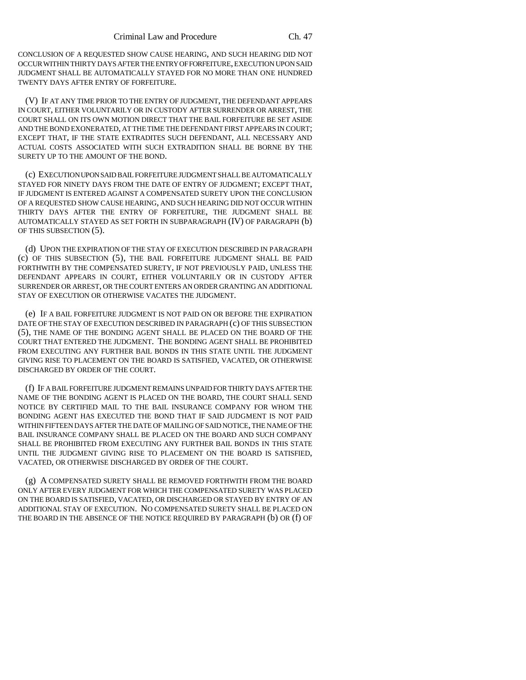CONCLUSION OF A REQUESTED SHOW CAUSE HEARING, AND SUCH HEARING DID NOT OCCUR WITHIN THIRTY DAYS AFTER THE ENTRY OF FORFEITURE, EXECUTION UPON SAID JUDGMENT SHALL BE AUTOMATICALLY STAYED FOR NO MORE THAN ONE HUNDRED TWENTY DAYS AFTER ENTRY OF FORFEITURE.

(V) IF AT ANY TIME PRIOR TO THE ENTRY OF JUDGMENT, THE DEFENDANT APPEARS IN COURT, EITHER VOLUNTARILY OR IN CUSTODY AFTER SURRENDER OR ARREST, THE COURT SHALL ON ITS OWN MOTION DIRECT THAT THE BAIL FORFEITURE BE SET ASIDE AND THE BOND EXONERATED, AT THE TIME THE DEFENDANT FIRST APPEARS IN COURT; EXCEPT THAT, IF THE STATE EXTRADITES SUCH DEFENDANT, ALL NECESSARY AND ACTUAL COSTS ASSOCIATED WITH SUCH EXTRADITION SHALL BE BORNE BY THE SURETY UP TO THE AMOUNT OF THE BOND.

(c) EXECUTION UPON SAID BAIL FORFEITURE JUDGMENT SHALL BE AUTOMATICALLY STAYED FOR NINETY DAYS FROM THE DATE OF ENTRY OF JUDGMENT; EXCEPT THAT, IF JUDGMENT IS ENTERED AGAINST A COMPENSATED SURETY UPON THE CONCLUSION OF A REQUESTED SHOW CAUSE HEARING, AND SUCH HEARING DID NOT OCCUR WITHIN THIRTY DAYS AFTER THE ENTRY OF FORFEITURE, THE JUDGMENT SHALL BE AUTOMATICALLY STAYED AS SET FORTH IN SUBPARAGRAPH (IV) OF PARAGRAPH (b) OF THIS SUBSECTION (5).

(d) UPON THE EXPIRATION OF THE STAY OF EXECUTION DESCRIBED IN PARAGRAPH (c) OF THIS SUBSECTION (5), THE BAIL FORFEITURE JUDGMENT SHALL BE PAID FORTHWITH BY THE COMPENSATED SURETY, IF NOT PREVIOUSLY PAID, UNLESS THE DEFENDANT APPEARS IN COURT, EITHER VOLUNTARILY OR IN CUSTODY AFTER SURRENDER OR ARREST, OR THE COURT ENTERS AN ORDER GRANTING AN ADDITIONAL STAY OF EXECUTION OR OTHERWISE VACATES THE JUDGMENT.

(e) IF A BAIL FORFEITURE JUDGMENT IS NOT PAID ON OR BEFORE THE EXPIRATION DATE OF THE STAY OF EXECUTION DESCRIBED IN PARAGRAPH (c) OF THIS SUBSECTION (5), THE NAME OF THE BONDING AGENT SHALL BE PLACED ON THE BOARD OF THE COURT THAT ENTERED THE JUDGMENT. THE BONDING AGENT SHALL BE PROHIBITED FROM EXECUTING ANY FURTHER BAIL BONDS IN THIS STATE UNTIL THE JUDGMENT GIVING RISE TO PLACEMENT ON THE BOARD IS SATISFIED, VACATED, OR OTHERWISE DISCHARGED BY ORDER OF THE COURT.

(f) IF A BAIL FORFEITURE JUDGMENT REMAINS UNPAID FOR THIRTY DAYS AFTER THE NAME OF THE BONDING AGENT IS PLACED ON THE BOARD, THE COURT SHALL SEND NOTICE BY CERTIFIED MAIL TO THE BAIL INSURANCE COMPANY FOR WHOM THE BONDING AGENT HAS EXECUTED THE BOND THAT IF SAID JUDGMENT IS NOT PAID WITHIN FIFTEEN DAYS AFTER THE DATE OF MAILING OF SAID NOTICE, THE NAME OF THE BAIL INSURANCE COMPANY SHALL BE PLACED ON THE BOARD AND SUCH COMPANY SHALL BE PROHIBITED FROM EXECUTING ANY FURTHER BAIL BONDS IN THIS STATE UNTIL THE JUDGMENT GIVING RISE TO PLACEMENT ON THE BOARD IS SATISFIED, VACATED, OR OTHERWISE DISCHARGED BY ORDER OF THE COURT.

(g) A COMPENSATED SURETY SHALL BE REMOVED FORTHWITH FROM THE BOARD ONLY AFTER EVERY JUDGMENT FOR WHICH THE COMPENSATED SURETY WAS PLACED ON THE BOARD IS SATISFIED, VACATED, OR DISCHARGED OR STAYED BY ENTRY OF AN ADDITIONAL STAY OF EXECUTION. NO COMPENSATED SURETY SHALL BE PLACED ON THE BOARD IN THE ABSENCE OF THE NOTICE REQUIRED BY PARAGRAPH (b) OR (f) OF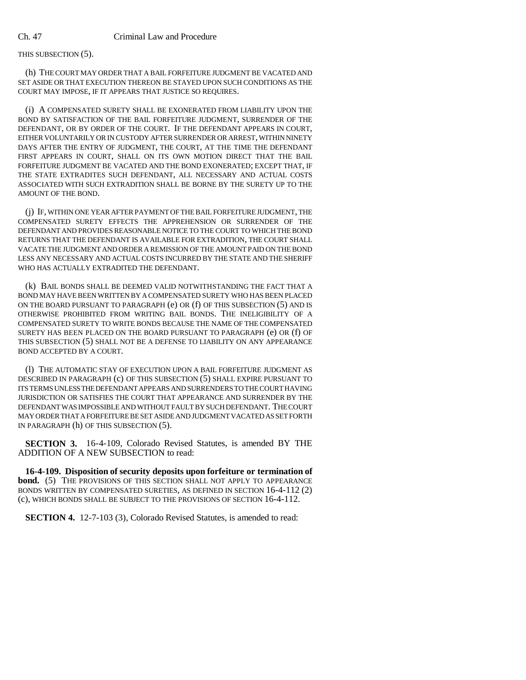## THIS SUBSECTION (5).

(h) THE COURT MAY ORDER THAT A BAIL FORFEITURE JUDGMENT BE VACATED AND SET ASIDE OR THAT EXECUTION THEREON BE STAYED UPON SUCH CONDITIONS AS THE COURT MAY IMPOSE, IF IT APPEARS THAT JUSTICE SO REQUIRES.

(i) A COMPENSATED SURETY SHALL BE EXONERATED FROM LIABILITY UPON THE BOND BY SATISFACTION OF THE BAIL FORFEITURE JUDGMENT, SURRENDER OF THE DEFENDANT, OR BY ORDER OF THE COURT. IF THE DEFENDANT APPEARS IN COURT, EITHER VOLUNTARILY OR IN CUSTODY AFTER SURRENDER OR ARREST, WITHIN NINETY DAYS AFTER THE ENTRY OF JUDGMENT, THE COURT, AT THE TIME THE DEFENDANT FIRST APPEARS IN COURT, SHALL ON ITS OWN MOTION DIRECT THAT THE BAIL FORFEITURE JUDGMENT BE VACATED AND THE BOND EXONERATED; EXCEPT THAT, IF THE STATE EXTRADITES SUCH DEFENDANT, ALL NECESSARY AND ACTUAL COSTS ASSOCIATED WITH SUCH EXTRADITION SHALL BE BORNE BY THE SURETY UP TO THE AMOUNT OF THE BOND.

(j) IF, WITHIN ONE YEAR AFTER PAYMENT OF THE BAIL FORFEITURE JUDGMENT, THE COMPENSATED SURETY EFFECTS THE APPREHENSION OR SURRENDER OF THE DEFENDANT AND PROVIDES REASONABLE NOTICE TO THE COURT TO WHICH THE BOND RETURNS THAT THE DEFENDANT IS AVAILABLE FOR EXTRADITION, THE COURT SHALL VACATE THE JUDGMENT AND ORDER A REMISSION OF THE AMOUNT PAID ON THE BOND LESS ANY NECESSARY AND ACTUAL COSTS INCURRED BY THE STATE AND THE SHERIFF WHO HAS ACTUALLY EXTRADITED THE DEFENDANT.

(k) BAIL BONDS SHALL BE DEEMED VALID NOTWITHSTANDING THE FACT THAT A BOND MAY HAVE BEEN WRITTEN BY A COMPENSATED SURETY WHO HAS BEEN PLACED ON THE BOARD PURSUANT TO PARAGRAPH (e) OR (f) OF THIS SUBSECTION (5) AND IS OTHERWISE PROHIBITED FROM WRITING BAIL BONDS. THE INELIGIBILITY OF A COMPENSATED SURETY TO WRITE BONDS BECAUSE THE NAME OF THE COMPENSATED SURETY HAS BEEN PLACED ON THE BOARD PURSUANT TO PARAGRAPH (e) OR (f) OF THIS SUBSECTION (5) SHALL NOT BE A DEFENSE TO LIABILITY ON ANY APPEARANCE BOND ACCEPTED BY A COURT.

(l) THE AUTOMATIC STAY OF EXECUTION UPON A BAIL FORFEITURE JUDGMENT AS DESCRIBED IN PARAGRAPH (c) OF THIS SUBSECTION (5) SHALL EXPIRE PURSUANT TO ITS TERMS UNLESS THE DEFENDANT APPEARS AND SURRENDERS TO THE COURT HAVING JURISDICTION OR SATISFIES THE COURT THAT APPEARANCE AND SURRENDER BY THE DEFENDANT WAS IMPOSSIBLE AND WITHOUT FAULT BY SUCH DEFENDANT. THE COURT MAY ORDER THAT A FORFEITURE BE SET ASIDE AND JUDGMENT VACATED AS SET FORTH IN PARAGRAPH (h) OF THIS SUBSECTION (5).

**SECTION 3.** 16-4-109, Colorado Revised Statutes, is amended BY THE ADDITION OF A NEW SUBSECTION to read:

**16-4-109. Disposition of security deposits upon forfeiture or termination of bond.** (5) THE PROVISIONS OF THIS SECTION SHALL NOT APPLY TO APPEARANCE BONDS WRITTEN BY COMPENSATED SURETIES, AS DEFINED IN SECTION 16-4-112 (2) (c), WHICH BONDS SHALL BE SUBJECT TO THE PROVISIONS OF SECTION 16-4-112.

**SECTION 4.** 12-7-103 (3), Colorado Revised Statutes, is amended to read: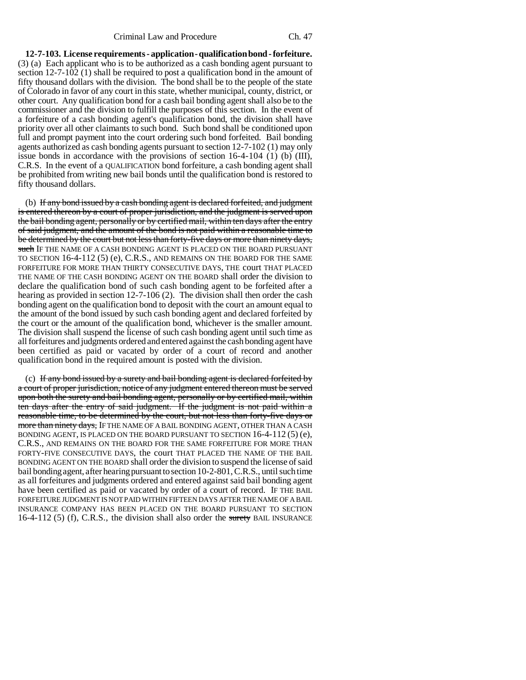**12-7-103. License requirements - application - qualification bond - forfeiture.** (3) (a) Each applicant who is to be authorized as a cash bonding agent pursuant to section 12-7-102 (1) shall be required to post a qualification bond in the amount of fifty thousand dollars with the division. The bond shall be to the people of the state of Colorado in favor of any court in this state, whether municipal, county, district, or other court. Any qualification bond for a cash bail bonding agent shall also be to the commissioner and the division to fulfill the purposes of this section. In the event of a forfeiture of a cash bonding agent's qualification bond, the division shall have priority over all other claimants to such bond. Such bond shall be conditioned upon full and prompt payment into the court ordering such bond forfeited. Bail bonding agents authorized as cash bonding agents pursuant to section 12-7-102 (1) may only issue bonds in accordance with the provisions of section  $16-4-104$  (1) (b) (III), C.R.S. In the event of a QUALIFICATION bond forfeiture, a cash bonding agent shall be prohibited from writing new bail bonds until the qualification bond is restored to fifty thousand dollars.

(b) If any bond issued by a cash bonding agent is declared forfeited, and judgment is entered thereon by a court of proper jurisdiction, and the judgment is served upon the bail bonding agent, personally or by certified mail, within ten days after the entry of said judgment, and the amount of the bond is not paid within a reasonable time to be determined by the court but not less than forty-five days or more than ninety days, such IF THE NAME OF A CASH BONDING AGENT IS PLACED ON THE BOARD PURSUANT TO SECTION 16-4-112 (5) (e), C.R.S., AND REMAINS ON THE BOARD FOR THE SAME FORFEITURE FOR MORE THAN THIRTY CONSECUTIVE DAYS, THE court THAT PLACED THE NAME OF THE CASH BONDING AGENT ON THE BOARD shall order the division to declare the qualification bond of such cash bonding agent to be forfeited after a hearing as provided in section 12-7-106 (2). The division shall then order the cash bonding agent on the qualification bond to deposit with the court an amount equal to the amount of the bond issued by such cash bonding agent and declared forfeited by the court or the amount of the qualification bond, whichever is the smaller amount. The division shall suspend the license of such cash bonding agent until such time as all forfeitures and judgments ordered and entered against the cash bonding agent have been certified as paid or vacated by order of a court of record and another qualification bond in the required amount is posted with the division.

(c) If any bond issued by a surety and bail bonding agent is declared forfeited by a court of proper jurisdiction, notice of any judgment entered thereon must be served upon both the surety and bail bonding agent, personally or by certified mail, within ten days after the entry of said judgment. If the judgment is not paid within a reasonable time, to be determined by the court, but not less than forty-five days or more than ninety days, IF THE NAME OF A BAIL BONDING AGENT, OTHER THAN A CASH BONDING AGENT, IS PLACED ON THE BOARD PURSUANT TO SECTION  $16-4-112(5)$  (e), C.R.S., AND REMAINS ON THE BOARD FOR THE SAME FORFEITURE FOR MORE THAN FORTY-FIVE CONSECUTIVE DAYS, the court THAT PLACED THE NAME OF THE BAIL BONDING AGENT ON THE BOARD shall order the division to suspend the license of said bail bonding agent, after hearing pursuant to section 10-2-801, C.R.S., until such time as all forfeitures and judgments ordered and entered against said bail bonding agent have been certified as paid or vacated by order of a court of record. IF THE BAIL FORFEITURE JUDGMENT IS NOT PAID WITHIN FIFTEEN DAYS AFTER THE NAME OF A BAIL INSURANCE COMPANY HAS BEEN PLACED ON THE BOARD PURSUANT TO SECTION  $16-4-112$  (5) (f), C.R.S., the division shall also order the surety BAIL INSURANCE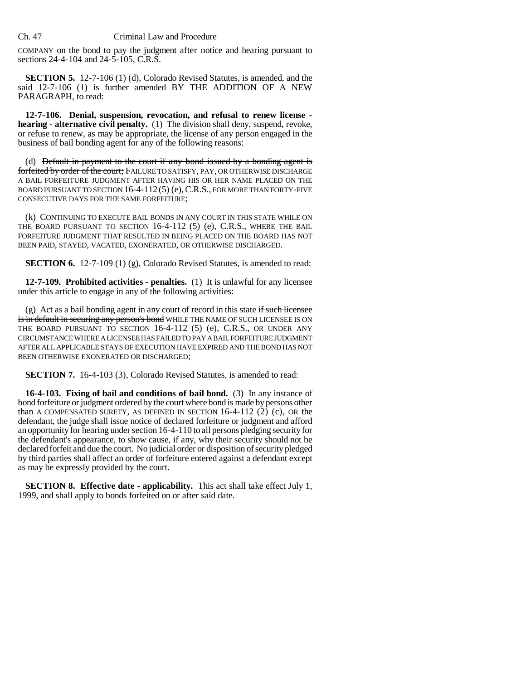## Ch. 47 Criminal Law and Procedure

COMPANY on the bond to pay the judgment after notice and hearing pursuant to sections 24-4-104 and 24-5-105, C.R.S.

**SECTION 5.** 12-7-106 (1) (d), Colorado Revised Statutes, is amended, and the said 12-7-106 (1) is further amended BY THE ADDITION OF A NEW PARAGRAPH, to read:

**12-7-106. Denial, suspension, revocation, and refusal to renew license hearing - alternative civil penalty.** (1) The division shall deny, suspend, revoke, or refuse to renew, as may be appropriate, the license of any person engaged in the business of bail bonding agent for any of the following reasons:

(d) <del>Default in payment to the court if any bond issued by a bonding agent is</del> forfeited by order of the court; FAILURE TO SATISFY, PAY, OR OTHERWISE DISCHARGE A BAIL FORFEITURE JUDGMENT AFTER HAVING HIS OR HER NAME PLACED ON THE BOARD PURSUANT TO SECTION 16-4-112(5) (e), C.R.S., FOR MORE THAN FORTY-FIVE CONSECUTIVE DAYS FOR THE SAME FORFEITURE;

(k) CONTINUING TO EXECUTE BAIL BONDS IN ANY COURT IN THIS STATE WHILE ON THE BOARD PURSUANT TO SECTION 16-4-112 (5) (e), C.R.S., WHERE THE BAIL FORFEITURE JUDGMENT THAT RESULTED IN BEING PLACED ON THE BOARD HAS NOT BEEN PAID, STAYED, VACATED, EXONERATED, OR OTHERWISE DISCHARGED.

**SECTION 6.** 12-7-109 (1) (g), Colorado Revised Statutes, is amended to read:

**12-7-109. Prohibited activities - penalties.** (1) It is unlawful for any licensee under this article to engage in any of the following activities:

(g) Act as a bail bonding agent in any court of record in this state if such licensee is in default in securing any person's bond WHILE THE NAME OF SUCH LICENSEE IS ON THE BOARD PURSUANT TO SECTION 16-4-112 (5) (e), C.R.S., OR UNDER ANY CIRCUMSTANCE WHERE A LICENSEE HAS FAILED TO PAY A BAIL FORFEITURE JUDGMENT AFTER ALL APPLICABLE STAYS OF EXECUTION HAVE EXPIRED AND THE BOND HAS NOT BEEN OTHERWISE EXONERATED OR DISCHARGED;

**SECTION 7.** 16-4-103 (3), Colorado Revised Statutes, is amended to read:

**16-4-103. Fixing of bail and conditions of bail bond.** (3) In any instance of bond forfeiture or judgment ordered by the court where bond is made by persons other than A COMPENSATED SURETY, AS DEFINED IN SECTION  $16-4-112$  (2) (c), OR the defendant, the judge shall issue notice of declared forfeiture or judgment and afford an opportunity for hearing under section 16-4-110 to all persons pledging security for the defendant's appearance, to show cause, if any, why their security should not be declared forfeit and due the court. No judicial order or disposition of security pledged by third parties shall affect an order of forfeiture entered against a defendant except as may be expressly provided by the court.

**SECTION 8. Effective date - applicability.** This act shall take effect July 1, 1999, and shall apply to bonds forfeited on or after said date.